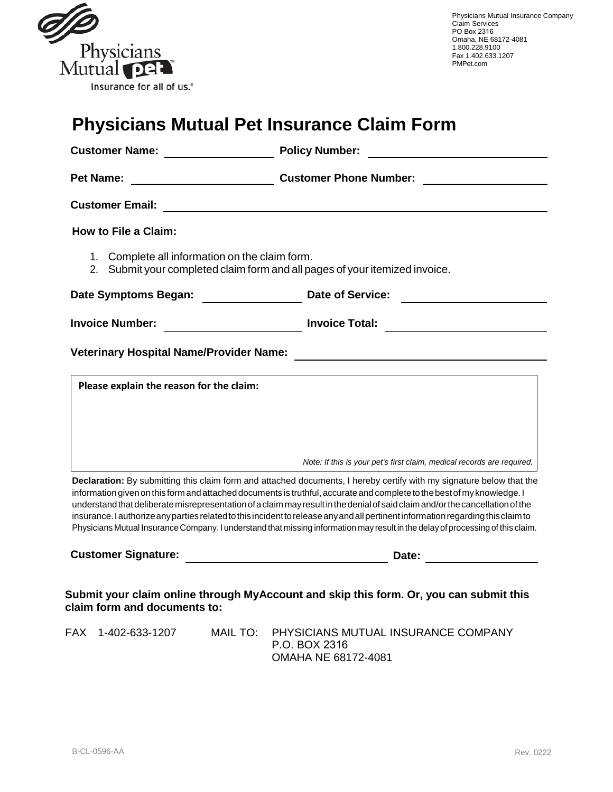

# **Physicians Mutual Pet Insurance Claim Form**

| <b>Customer Name:</b> Name:                                                                                                   | <b>Policy Number:</b>                                                                                                                                                                                                                                                                                                                                                                                                                                                                                                                                                                                                                                   |
|-------------------------------------------------------------------------------------------------------------------------------|---------------------------------------------------------------------------------------------------------------------------------------------------------------------------------------------------------------------------------------------------------------------------------------------------------------------------------------------------------------------------------------------------------------------------------------------------------------------------------------------------------------------------------------------------------------------------------------------------------------------------------------------------------|
| <b>Pet Name:</b>                                                                                                              | <b>Customer Phone Number:</b>                                                                                                                                                                                                                                                                                                                                                                                                                                                                                                                                                                                                                           |
| <b>Customer Email:</b>                                                                                                        |                                                                                                                                                                                                                                                                                                                                                                                                                                                                                                                                                                                                                                                         |
| <b>How to File a Claim:</b>                                                                                                   |                                                                                                                                                                                                                                                                                                                                                                                                                                                                                                                                                                                                                                                         |
| 1. Complete all information on the claim form.<br>2. Submit your completed claim form and all pages of your itemized invoice. |                                                                                                                                                                                                                                                                                                                                                                                                                                                                                                                                                                                                                                                         |
| Date Symptoms Began:                                                                                                          | <b>Date of Service:</b>                                                                                                                                                                                                                                                                                                                                                                                                                                                                                                                                                                                                                                 |
| <b>Invoice Number:</b>                                                                                                        | <b>Invoice Total:</b>                                                                                                                                                                                                                                                                                                                                                                                                                                                                                                                                                                                                                                   |
| <b>Veterinary Hospital Name/Provider Name:</b>                                                                                |                                                                                                                                                                                                                                                                                                                                                                                                                                                                                                                                                                                                                                                         |
| Please explain the reason for the claim:                                                                                      |                                                                                                                                                                                                                                                                                                                                                                                                                                                                                                                                                                                                                                                         |
|                                                                                                                               | Note: If this is your pet's first claim, medical records are required.                                                                                                                                                                                                                                                                                                                                                                                                                                                                                                                                                                                  |
|                                                                                                                               | Declaration: By submitting this claim form and attached documents, I hereby certify with my signature below that the<br>information given on this form and attached documents is truthful, accurate and complete to the best of my knowledge. I<br>understand that deliberate misrepresentation of a claim may result in the denial of said claim and/or the cancellation of the<br>insurance. I authorize any parties related to this incident to release any and all pertinent information regarding this claim to<br>Physicians Mutual Insurance Company. I understand that missing information may result in the delay of processing of this claim. |
| <b>Customer Signature:</b>                                                                                                    | <u> 1980 - Johann Barn, mars an t-Amerikaansk kommunister (</u><br>Date: the contract of the contract of the contract of the contract of the contract of the contract of the contract of the contract of the contract of the contract of the contract of the contract of the contract of the cont                                                                                                                                                                                                                                                                                                                                                       |
| Submit your claim online through MyAccount and skip this form. Or, you can submit this<br>claim form and documents to:        |                                                                                                                                                                                                                                                                                                                                                                                                                                                                                                                                                                                                                                                         |
| FAX 1-402-633-1207<br>MAIL TO:                                                                                                | PHYSICIANS MUTUAL INSURANCE COMPANY                                                                                                                                                                                                                                                                                                                                                                                                                                                                                                                                                                                                                     |

P.O. BOX 2316

OMAHA NE 68172-4081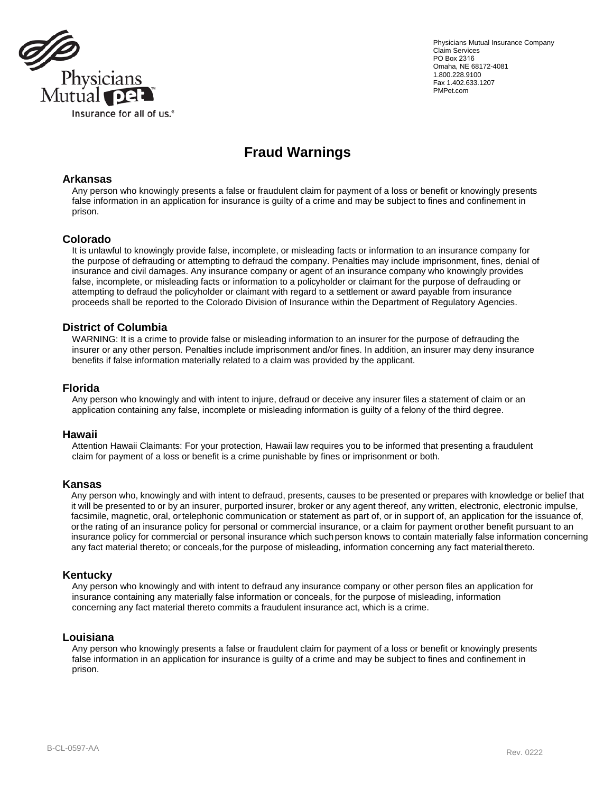

Physicians Mutual Insurance Company Claim Services PO Box 2316 Omaha, NE 68172-4081 1.800.228.9100 Fax 1.402.633.1207 PMPet.com

# **Fraud Warnings**

#### **Arkansas**

Any person who knowingly presents a false or fraudulent claim for payment of a loss or benefit or knowingly presents false information in an application for insurance is guilty of a crime and may be subject to fines and confinement in prison.

#### **Colorado**

It is unlawful to knowingly provide false, incomplete, or misleading facts or information to an insurance company for the purpose of defrauding or attempting to defraud the company. Penalties may include imprisonment, fines, denial of insurance and civil damages. Any insurance company or agent of an insurance company who knowingly provides false, incomplete, or misleading facts or information to a policyholder or claimant for the purpose of defrauding or attempting to defraud the policyholder or claimant with regard to a settlement or award payable from insurance proceeds shall be reported to the Colorado Division of Insurance within the Department of Regulatory Agencies.

### **District of Columbia**

WARNING: It is a crime to provide false or misleading information to an insurer for the purpose of defrauding the insurer or any other person. Penalties include imprisonment and/or fines. In addition, an insurer may deny insurance benefits if false information materially related to a claim was provided by the applicant.

#### **Florida**

Any person who knowingly and with intent to injure, defraud or deceive any insurer files a statement of claim or an application containing any false, incomplete or misleading information is guilty of a felony of the third degree.

#### **Hawaii**

Attention Hawaii Claimants: For your protection, Hawaii law requires you to be informed that presenting a fraudulent claim for payment of a loss or benefit is a crime punishable by fines or imprisonment or both.

#### **Kansas**

Any person who, knowingly and with intent to defraud, presents, causes to be presented or prepares with knowledge or belief that it will be presented to or by an insurer, purported insurer, broker or any agent thereof, any written, electronic, electronic impulse, facsimile, magnetic, oral, ortelephonic communication or statement as part of, or in support of, an application for the issuance of, orthe rating of an insurance policy for personal or commercial insurance, or a claim for payment orother benefit pursuant to an insurance policy for commercial or personal insurance which suchperson knows to contain materially false information concerning any fact material thereto; or conceals,for the purpose of misleading, information concerning any fact material thereto.

#### **Kentucky**

Any person who knowingly and with intent to defraud any insurance company or other person files an application for insurance containing any materially false information or conceals, for the purpose of misleading, information concerning any fact material thereto commits a fraudulent insurance act, which is a crime.

#### **Louisiana**

Any person who knowingly presents a false or fraudulent claim for payment of a loss or benefit or knowingly presents false information in an application for insurance is guilty of a crime and may be subject to fines and confinement in prison.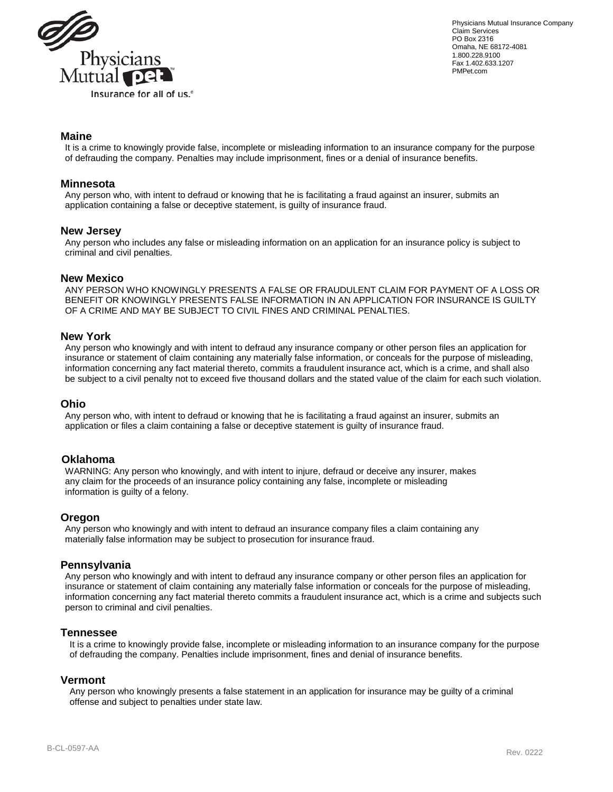

Physicians Mutual Insurance Company Claim Services PO Box 2316 Omaha, NE 68172-4081 1.800.228.9100 Fax 1.402.633.1207 PMPet.com

## **Maine**

It is a crime to knowingly provide false, incomplete or misleading information to an insurance company for the purpose of defrauding the company. Penalties may include imprisonment, fines or a denial of insurance benefits.

#### **Minnesota**

Any person who, with intent to defraud or knowing that he is facilitating a fraud against an insurer, submits an application containing a false or deceptive statement, is guilty of insurance fraud.

#### **New Jersey**

Any person who includes any false or misleading information on an application for an insurance policy is subject to criminal and civil penalties.

#### **New Mexico**

ANY PERSON WHO KNOWINGLY PRESENTS A FALSE OR FRAUDULENT CLAIM FOR PAYMENT OF A LOSS OR BENEFIT OR KNOWINGLY PRESENTS FALSE INFORMATION IN AN APPLICATION FOR INSURANCE IS GUILTY OF A CRIME AND MAY BE SUBJECT TO CIVIL FINES AND CRIMINAL PENALTIES.

#### **New York**

Any person who knowingly and with intent to defraud any insurance company or other person files an application for insurance or statement of claim containing any materially false information, or conceals for the purpose of misleading, information concerning any fact material thereto, commits a fraudulent insurance act, which is a crime, and shall also be subject to a civil penalty not to exceed five thousand dollars and the stated value of the claim for each such violation.

#### **Ohio**

Any person who, with intent to defraud or knowing that he is facilitating a fraud against an insurer, submits an application or files a claim containing a false or deceptive statement is guilty of insurance fraud.

#### **Oklahoma**

WARNING: Any person who knowingly, and with intent to injure, defraud or deceive any insurer, makes any claim for the proceeds of an insurance policy containing any false, incomplete or misleading information is guilty of a felony.

#### **Oregon**

Any person who knowingly and with intent to defraud an insurance company files a claim containing any materially false information may be subject to prosecution for insurance fraud.

#### **Pennsylvania**

Any person who knowingly and with intent to defraud any insurance company or other person files an application for insurance or statement of claim containing any materially false information or conceals for the purpose of misleading, information concerning any fact material thereto commits a fraudulent insurance act, which is a crime and subjects such person to criminal and civil penalties.

#### **Tennessee**

It is a crime to knowingly provide false, incomplete or misleading information to an insurance company for the purpose of defrauding the company. Penalties include imprisonment, fines and denial of insurance benefits.

#### **Vermont**

Any person who knowingly presents a false statement in an application for insurance may be guilty of a criminal offense and subject to penalties under state law.